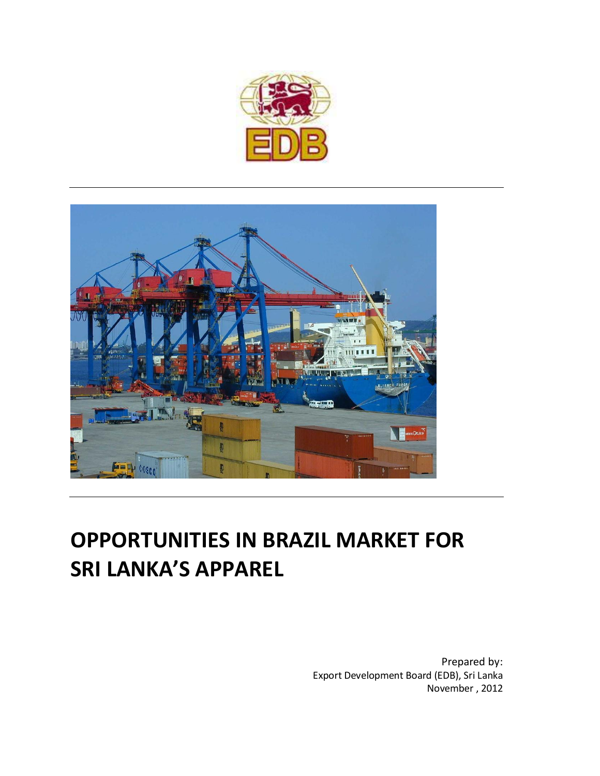



# **OPPORTUNITIES IN BRAZIL MARKET FOR SRI LANKA'S APPAREL**

Prepared by: Export Development Board (EDB), Sri Lanka November , 2012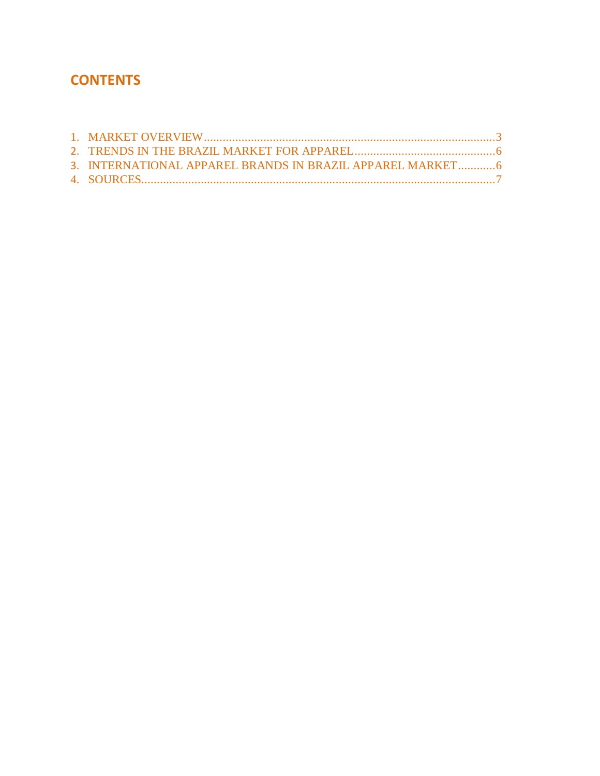### **CONTENTS**

| 3. INTERNATIONAL APPAREL BRANDS IN BRAZIL APPAREL MARKET 6 |  |
|------------------------------------------------------------|--|
|                                                            |  |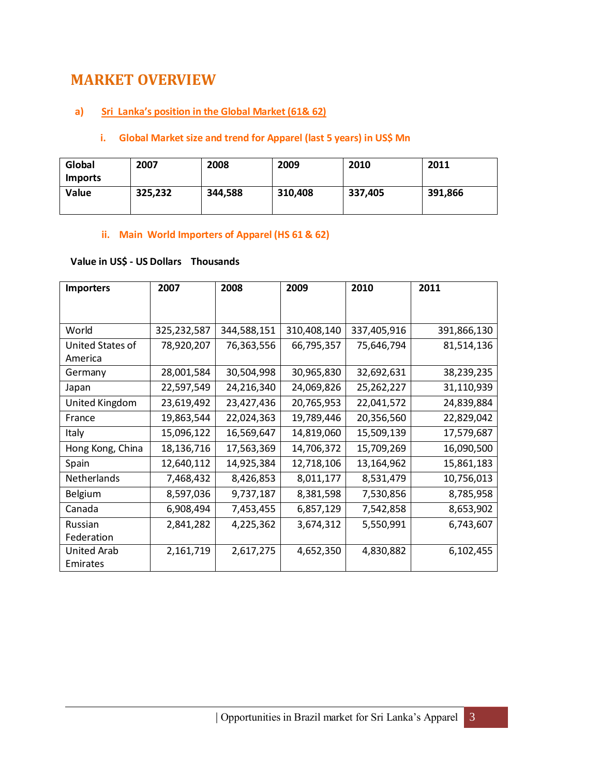### <span id="page-2-0"></span>**MARKET OVERVIEW**

#### **a) Sri Lanka's position in the Global Market (61& 62)**

#### **i. Global Market size and trend for Apparel (last 5 years) in US\$ Mn**

| Global<br><b>Imports</b> | 2007    | 2008    | 2009    | 2010    | 2011    |
|--------------------------|---------|---------|---------|---------|---------|
| <b>Value</b>             | 325,232 | 344,588 | 310,408 | 337,405 | 391,866 |

#### **ii. Main World Importers of Apparel (HS 61 & 62)**

### **Value in US\$ - US Dollars Thousands**

| <b>Importers</b> | 2007        | 2008        | 2009        | 2010        | 2011        |
|------------------|-------------|-------------|-------------|-------------|-------------|
|                  |             |             |             |             |             |
|                  |             |             |             |             |             |
| World            | 325,232,587 | 344,588,151 | 310,408,140 | 337,405,916 | 391,866,130 |
| United States of | 78,920,207  | 76,363,556  | 66,795,357  | 75,646,794  | 81,514,136  |
| America          |             |             |             |             |             |
| Germany          | 28,001,584  | 30,504,998  | 30,965,830  | 32,692,631  | 38,239,235  |
| Japan            | 22,597,549  | 24,216,340  | 24,069,826  | 25,262,227  | 31,110,939  |
| United Kingdom   | 23,619,492  | 23,427,436  | 20,765,953  | 22,041,572  | 24,839,884  |
| France           | 19,863,544  | 22,024,363  | 19,789,446  | 20,356,560  | 22,829,042  |
| Italy            | 15,096,122  | 16,569,647  | 14,819,060  | 15,509,139  | 17,579,687  |
| Hong Kong, China | 18,136,716  | 17,563,369  | 14,706,372  | 15,709,269  | 16,090,500  |
| Spain            | 12,640,112  | 14,925,384  | 12,718,106  | 13,164,962  | 15,861,183  |
| Netherlands      | 7,468,432   | 8,426,853   | 8,011,177   | 8,531,479   | 10,756,013  |
| Belgium          | 8,597,036   | 9,737,187   | 8,381,598   | 7,530,856   | 8,785,958   |
| Canada           | 6,908,494   | 7,453,455   | 6,857,129   | 7,542,858   | 8,653,902   |
| Russian          | 2,841,282   | 4,225,362   | 3,674,312   | 5,550,991   | 6,743,607   |
| Federation       |             |             |             |             |             |
| United Arab      | 2,161,719   | 2,617,275   | 4,652,350   | 4,830,882   | 6,102,455   |
| Emirates         |             |             |             |             |             |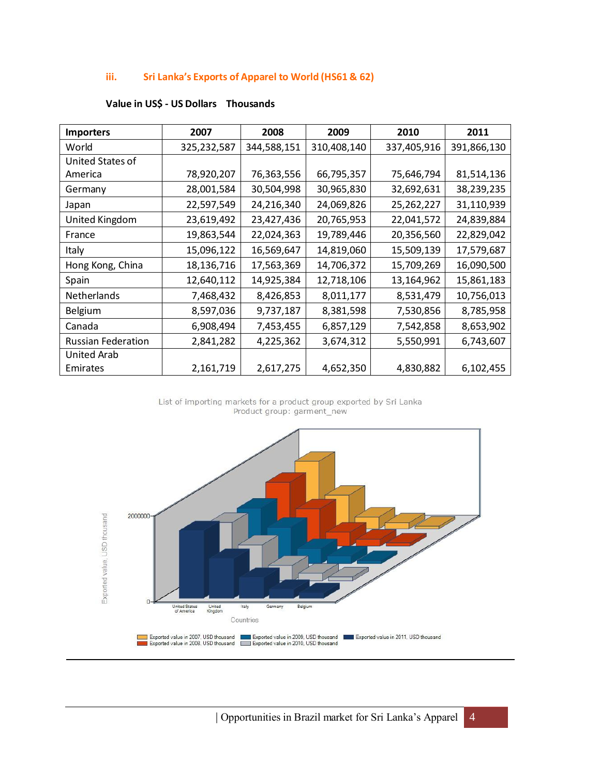#### **iii. Sri Lanka's Exports of Apparel to World (HS61 & 62)**

| <b>Importers</b>          | 2007        | 2008        | 2009        | 2010        | 2011        |
|---------------------------|-------------|-------------|-------------|-------------|-------------|
| World                     | 325,232,587 | 344,588,151 | 310,408,140 | 337,405,916 | 391,866,130 |
| United States of          |             |             |             |             |             |
| America                   | 78,920,207  | 76,363,556  | 66,795,357  | 75,646,794  | 81,514,136  |
| Germany                   | 28,001,584  | 30,504,998  | 30,965,830  | 32,692,631  | 38,239,235  |
| Japan                     | 22,597,549  | 24,216,340  | 24,069,826  | 25,262,227  | 31,110,939  |
| United Kingdom            | 23,619,492  | 23,427,436  | 20,765,953  | 22,041,572  | 24,839,884  |
| France                    | 19,863,544  | 22,024,363  | 19,789,446  | 20,356,560  | 22,829,042  |
| Italy                     | 15,096,122  | 16,569,647  | 14,819,060  | 15,509,139  | 17,579,687  |
| Hong Kong, China          | 18,136,716  | 17,563,369  | 14,706,372  | 15,709,269  | 16,090,500  |
| Spain                     | 12,640,112  | 14,925,384  | 12,718,106  | 13,164,962  | 15,861,183  |
| <b>Netherlands</b>        | 7,468,432   | 8,426,853   | 8,011,177   | 8,531,479   | 10,756,013  |
| Belgium                   | 8,597,036   | 9,737,187   | 8,381,598   | 7,530,856   | 8,785,958   |
| Canada                    | 6,908,494   | 7,453,455   | 6,857,129   | 7,542,858   | 8,653,902   |
| <b>Russian Federation</b> | 2,841,282   | 4,225,362   | 3,674,312   | 5,550,991   | 6,743,607   |
| <b>United Arab</b>        |             |             |             |             |             |
| Emirates                  | 2,161,719   | 2,617,275   | 4,652,350   | 4,830,882   | 6,102,455   |

#### **Value in US\$ - US Dollars Thousands**

List of importing markets for a product group exported by Sri Lanka Product group: garment\_new

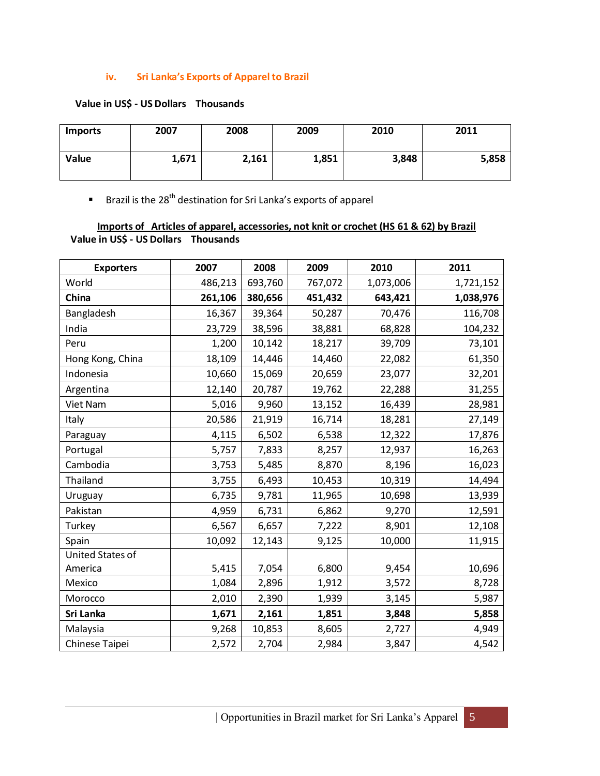#### **iv. Sri Lanka's Exports of Apparel to Brazil**

#### **Value in US\$ - US Dollars Thousands**

| <b>Imports</b> | 2007  | 2008  | 2009  | 2010  | 2011  |
|----------------|-------|-------|-------|-------|-------|
| Value          | 1,671 | 2,161 | 1,851 | 3,848 | 5,858 |

**Brazil is the 28<sup>th</sup> destination for Sri Lanka's exports of apparel** 

#### **Imports of Articles of apparel, accessories, not knit or crochet (HS 61 & 62) by Brazil Value in US\$ - US Dollars Thousands**

| <b>Exporters</b> | 2007    | 2008    | 2009    | 2010      | 2011      |
|------------------|---------|---------|---------|-----------|-----------|
| World            | 486,213 | 693,760 | 767,072 | 1,073,006 | 1,721,152 |
| China            | 261,106 | 380,656 | 451,432 | 643,421   | 1,038,976 |
| Bangladesh       | 16,367  | 39,364  | 50,287  | 70,476    | 116,708   |
| India            | 23,729  | 38,596  | 38,881  | 68,828    | 104,232   |
| Peru             | 1,200   | 10,142  | 18,217  | 39,709    | 73,101    |
| Hong Kong, China | 18,109  | 14,446  | 14,460  | 22,082    | 61,350    |
| Indonesia        | 10,660  | 15,069  | 20,659  | 23,077    | 32,201    |
| Argentina        | 12,140  | 20,787  | 19,762  | 22,288    | 31,255    |
| Viet Nam         | 5,016   | 9,960   | 13,152  | 16,439    | 28,981    |
| Italy            | 20,586  | 21,919  | 16,714  | 18,281    | 27,149    |
| Paraguay         | 4,115   | 6,502   | 6,538   | 12,322    | 17,876    |
| Portugal         | 5,757   | 7,833   | 8,257   | 12,937    | 16,263    |
| Cambodia         | 3,753   | 5,485   | 8,870   | 8,196     | 16,023    |
| Thailand         | 3,755   | 6,493   | 10,453  | 10,319    | 14,494    |
| Uruguay          | 6,735   | 9,781   | 11,965  | 10,698    | 13,939    |
| Pakistan         | 4,959   | 6,731   | 6,862   | 9,270     | 12,591    |
| Turkey           | 6,567   | 6,657   | 7,222   | 8,901     | 12,108    |
| Spain            | 10,092  | 12,143  | 9,125   | 10,000    | 11,915    |
| United States of |         |         |         |           |           |
| America          | 5,415   | 7,054   | 6,800   | 9,454     | 10,696    |
| Mexico           | 1,084   | 2,896   | 1,912   | 3,572     | 8,728     |
| Morocco          | 2,010   | 2,390   | 1,939   | 3,145     | 5,987     |
| Sri Lanka        | 1,671   | 2,161   | 1,851   | 3,848     | 5,858     |
| Malaysia         | 9,268   | 10,853  | 8,605   | 2,727     | 4,949     |
| Chinese Taipei   | 2,572   | 2,704   | 2,984   | 3,847     | 4,542     |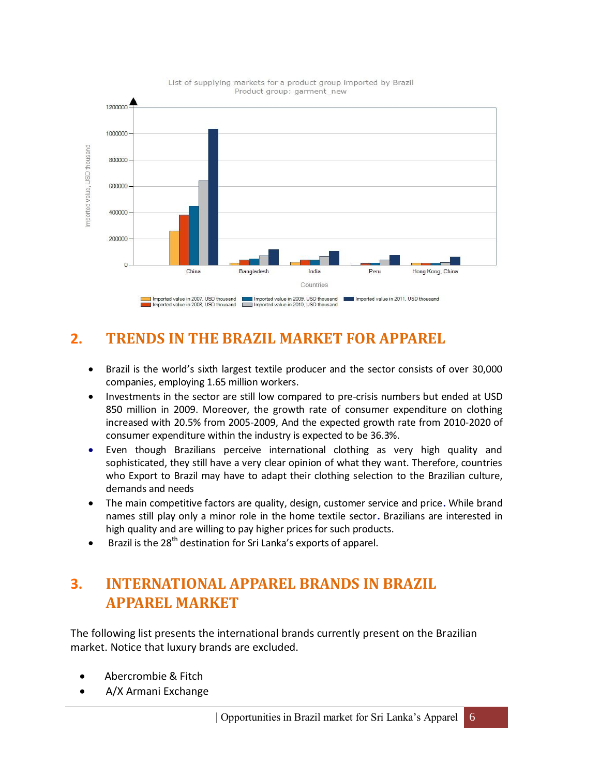

#### List of supplying markets for a product group imported by Brazil Product group: garment\_new

### <span id="page-5-0"></span>**2. TRENDS IN THE BRAZIL MARKET FOR APPAREL**

- Brazil is the world's sixth largest textile producer and the sector consists of over 30,000 companies, employing 1.65 million workers.
- Investments in the sector are still low compared to pre-crisis numbers but ended at USD 850 million in 2009. Moreover, the growth rate of consumer expenditure on clothing increased with 20.5% from 2005-2009, And the expected growth rate from 2010-2020 of consumer expenditure within the industry is expected to be 36.3%.
- Even though Brazilians perceive international clothing as very high quality and sophisticated, they still have a very clear opinion of what they want. Therefore, countries who Export to Brazil may have to adapt their clothing selection to the Brazilian culture, demands and needs
- The main competitive factors are quality, design, customer service and price**.** While brand names still play only a minor role in the home textile sector**.** Brazilians are interested in high quality and are willing to pay higher prices for such products.
- **Brazil is the 28<sup>th</sup> destination for Sri Lanka's exports of apparel.**

## <span id="page-5-1"></span>**3. INTERNATIONAL APPAREL BRANDS IN BRAZIL APPAREL MARKET**

The following list presents the international brands currently present on the Brazilian market. Notice that luxury brands are excluded.

- Abercrombie & Fitch
- A/X Armani Exchange